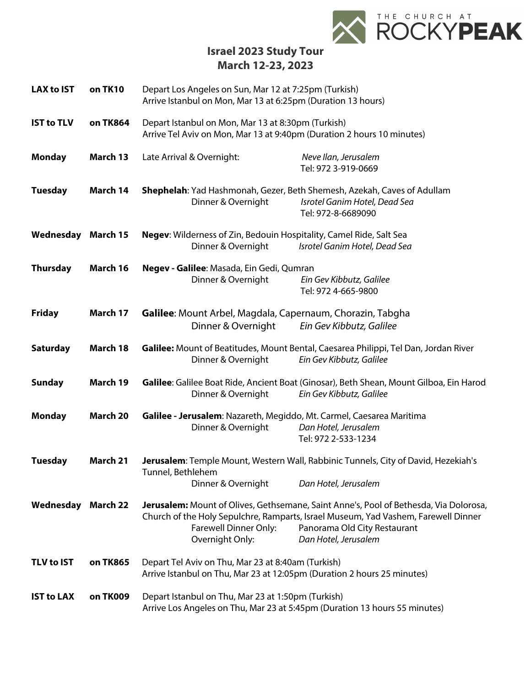

**Israel 2023 Study Tour March 12-23, 2023**

| <b>LAX to IST</b>         | on TK10         | Depart Los Angeles on Sun, Mar 12 at 7:25pm (Turkish)<br>Arrive Istanbul on Mon, Mar 13 at 6:25pm (Duration 13 hours)                                                                                                                                                           |
|---------------------------|-----------------|---------------------------------------------------------------------------------------------------------------------------------------------------------------------------------------------------------------------------------------------------------------------------------|
| <b>IST to TLV</b>         | on TK864        | Depart Istanbul on Mon, Mar 13 at 8:30pm (Turkish)<br>Arrive Tel Aviv on Mon, Mar 13 at 9:40pm (Duration 2 hours 10 minutes)                                                                                                                                                    |
| <b>Monday</b>             | March 13        | Late Arrival & Overnight:<br>Neve Ilan, Jerusalem<br>Tel: 972 3-919-0669                                                                                                                                                                                                        |
| <b>Tuesday</b>            | March 14        | Shephelah: Yad Hashmonah, Gezer, Beth Shemesh, Azekah, Caves of Adullam<br>Dinner & Overnight<br>Isrotel Ganim Hotel, Dead Sea<br>Tel: 972-8-6689090                                                                                                                            |
| Wednesday                 | March 15        | Negev: Wilderness of Zin, Bedouin Hospitality, Camel Ride, Salt Sea<br>Dinner & Overnight<br>Isrotel Ganim Hotel, Dead Sea                                                                                                                                                      |
| <b>Thursday</b>           | March 16        | Negev - Galilee: Masada, Ein Gedi, Qumran<br>Dinner & Overnight<br>Ein Gev Kibbutz, Galilee<br>Tel: 972 4-665-9800                                                                                                                                                              |
| <b>Friday</b>             | March 17        | Galilee: Mount Arbel, Magdala, Capernaum, Chorazin, Tabgha<br>Dinner & Overnight<br>Ein Gev Kibbutz, Galilee                                                                                                                                                                    |
| <b>Saturday</b>           | March 18        | Galilee: Mount of Beatitudes, Mount Bental, Caesarea Philippi, Tel Dan, Jordan River<br>Ein Gev Kibbutz, Galilee<br>Dinner & Overnight                                                                                                                                          |
| <b>Sunday</b>             | March 19        | Galilee: Galilee Boat Ride, Ancient Boat (Ginosar), Beth Shean, Mount Gilboa, Ein Harod<br>Dinner & Overnight<br>Ein Gev Kibbutz, Galilee                                                                                                                                       |
| <b>Monday</b>             | <b>March 20</b> | Galilee - Jerusalem: Nazareth, Megiddo, Mt. Carmel, Caesarea Maritima<br>Dinner & Overnight<br>Dan Hotel, Jerusalem<br>Tel: 972 2-533-1234                                                                                                                                      |
| <b>Tuesday</b>            | March 21        | Jerusalem: Temple Mount, Western Wall, Rabbinic Tunnels, City of David, Hezekiah's<br>Tunnel, Bethlehem<br>Dan Hotel, Jerusalem<br>Dinner & Overnight                                                                                                                           |
| <b>Wednesday March 22</b> |                 | Jerusalem: Mount of Olives, Gethsemane, Saint Anne's, Pool of Bethesda, Via Dolorosa,<br>Church of the Holy Sepulchre, Ramparts, Israel Museum, Yad Vashem, Farewell Dinner<br>Farewell Dinner Only:<br>Panorama Old City Restaurant<br>Overnight Only:<br>Dan Hotel, Jerusalem |
| <b>TLV to IST</b>         | on TK865        | Depart Tel Aviv on Thu, Mar 23 at 8:40am (Turkish)<br>Arrive Istanbul on Thu, Mar 23 at 12:05pm (Duration 2 hours 25 minutes)                                                                                                                                                   |
| <b>IST to LAX</b>         | on TK009        | Depart Istanbul on Thu, Mar 23 at 1:50pm (Turkish)<br>Arrive Los Angeles on Thu, Mar 23 at 5:45pm (Duration 13 hours 55 minutes)                                                                                                                                                |